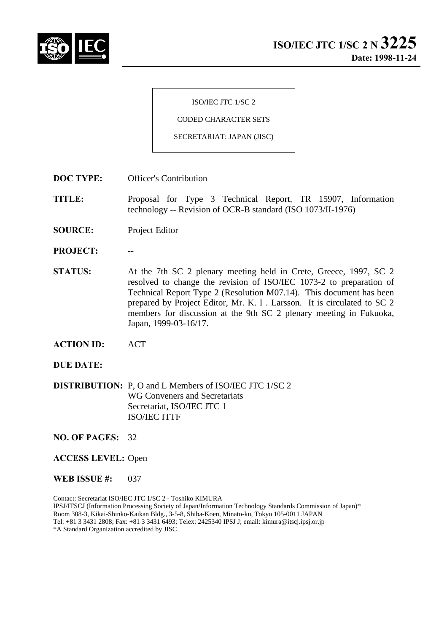

ISO/IEC JTC 1/SC 2

CODED CHARACTER SETS

SECRETARIAT: JAPAN (JISC)

**DOC TYPE:** Officer's Contribution

**TITLE:** Proposal for Type 3 Technical Report, TR 15907, Information technology -- Revision of OCR-B standard (ISO 1073/II-1976)

- **SOURCE:** Project Editor
- **PROJECT:** --
- **STATUS:** At the 7th SC 2 plenary meeting held in Crete, Greece, 1997, SC 2 resolved to change the revision of ISO/IEC 1073-2 to preparation of Technical Report Type 2 (Resolution M07.14). This document has been prepared by Project Editor, Mr. K. I . Larsson. It is circulated to SC 2 members for discussion at the 9th SC 2 plenary meeting in Fukuoka, Japan, 1999-03-16/17.
- **ACTION ID:** ACT

#### **DUE DATE:**

**DISTRIBUTION:** P, O and L Members of ISO/IEC JTC 1/SC 2 WG Conveners and Secretariats Secretariat, ISO/IEC JTC 1 ISO/IEC ITTF

#### **NO. OF PAGES:** 32

#### **ACCESS LEVEL:** Open

#### **WEB ISSUE #:** 037

Contact: Secretariat ISO/IEC JTC 1/SC 2 - Toshiko KIMURA IPSJ/ITSCJ (Information Processing Society of Japan/Information Technology Standards Commission of Japan)\* Room 308-3, Kikai-Shinko-Kaikan Bldg., 3-5-8, Shiba-Koen, Minato-ku, Tokyo 105-0011 JAPAN Tel: +81 3 3431 2808; Fax: +81 3 3431 6493; Telex: 2425340 IPSJ J; email: kimura@itscj.ipsj.or.jp \*A Standard Organization accredited by JISC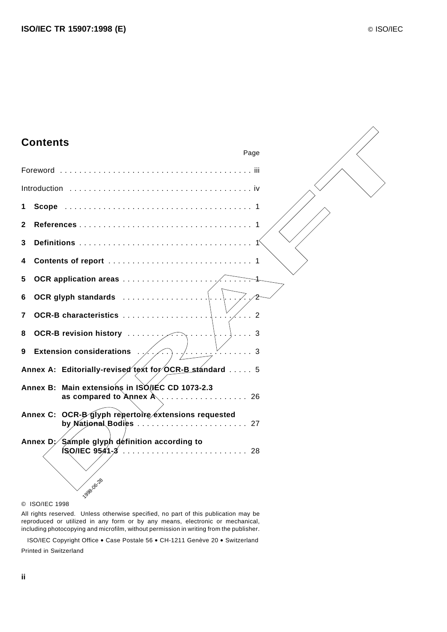| <b>Contents</b>                                                                   |  |
|-----------------------------------------------------------------------------------|--|
| Page                                                                              |  |
|                                                                                   |  |
|                                                                                   |  |
| 1                                                                                 |  |
| 2                                                                                 |  |
| 3                                                                                 |  |
| 4                                                                                 |  |
| 5                                                                                 |  |
| 6                                                                                 |  |
| 2<br>7                                                                            |  |
| OCR-B revision history $\ldots \ldots \sim$<br>. 3<br>8                           |  |
| <b>Extension considerations</b><br>9<br>3                                         |  |
| Annex A: Editorially-revised text for OCR-B standard  5                           |  |
| Annex B: Main extensions in ISO/IEC CD 1073-2.3<br>as compared to Annex A<br>. 26 |  |
| Annex C: OCR-B glyph repertoire extensions requested                              |  |
| Annex D: Sample glyph definition according to<br>1998-06-28                       |  |

#### © ISO/IEC 1998

All rights reserved. Unless otherwise specified, no part of this publication may be reproduced or utilized in any form or by any means, electronic or mechanical, including photocopying and microfilm, without permission in writing from the publisher.

ISO/IEC Copyright Office • Case Postale 56 • CH-1211 Genève 20 • Switzerland

Printed in Switzerland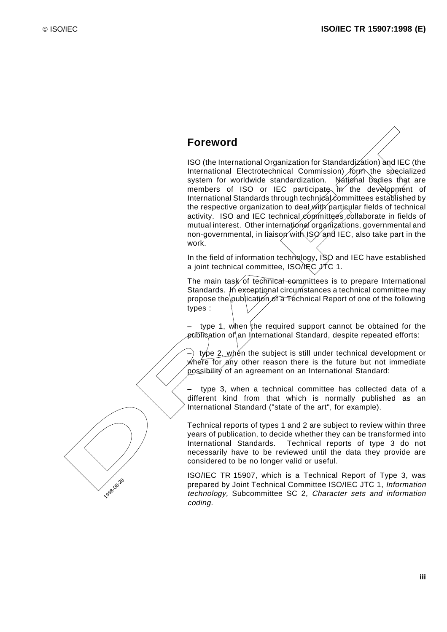**Foreword**<br> **ISO** (the International Organization for Standard/zaion) and IEC (the<br>
International Electrotechnical Commission). Commissions the specialized<br>
is system for worldwide standardzation. Majoinal bodies that are<br> ISO (the International Organization for Standardization) and IEC (the International Electrotechnical Commission) form the specialized system for worldwide standardization. Mational bodies that are members of ISO or IEC participate in the development of International Standards through technical committees established by the respective organization to deal/with particular fields of technical activity. ISO and IEC technical committees collaborate in fields of mutual interest. Other international organizations, governmental and non-governmental, in liaison with ISO and IEC, also take part in the work.

In the field of information technology, ISO and IEC have established a joint technical committee,  $ISO/IEC$ ,  $YTC$  1.

The main task of technical committees is to prepare International Standards. In exceptional circumstances a technical committee may propose the publication of a Technical Report of one of the following types :

 $-$  type 1, when the required support cannot be obtained for the publication of an International Standard, despite repeated efforts:

type 2, when the subject is still under technical development or where for any other reason there is the future but not immediate possibility of an agreement on an International Standard:

– type 3, when a technical committee has collected data of a different kind from that which is normally published as an International Standard ("state of the art", for example).

Technical reports of types 1 and 2 are subject to review within three years of publication, to decide whether they can be transformed into International Standards. Technical reports of type 3 do not necessarily have to be reviewed until the data they provide are considered to be no longer valid or useful.

ISO/IEC TR 15907, which is a Technical Report of Type 3, was prepared by Joint Technical Committee ISO/IEC JTC 1, Information technology, Subcommittee SC 2, Character sets and information coding.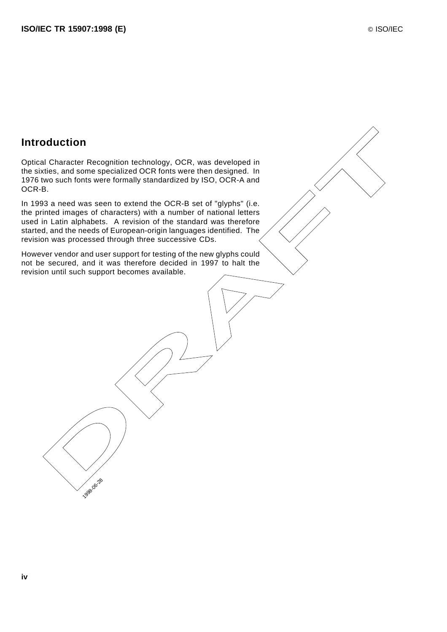Optical Character Recognition technology, OCR, was developed in the sixties, and some specialized OCR fonts were then designed. In 1976 two such fonts were formally standardized by ISO, OCR-A and OCR-B.

**Introduction**<br>
Optical Character Recognition technology, OCR, was developed in<br>
the sixtice, and some specialized OCR tonts were them designed. In<br>
1976 two such fonts were formally standardized by ISO, OCR-A and<br>
In 1993 In 1993 a need was seen to extend the OCR-B set of "glyphs" (i.e. the printed images of characters) with a number of national letters used in Latin alphabets. A revision of the standard was therefore started, and the needs of European-origin languages identified. The revision was processed through three successive CDs.

However vendor and user support for testing of the new glyphs could not be secured, and it was therefore decided in 1997 to halt the revision until such support becomes available.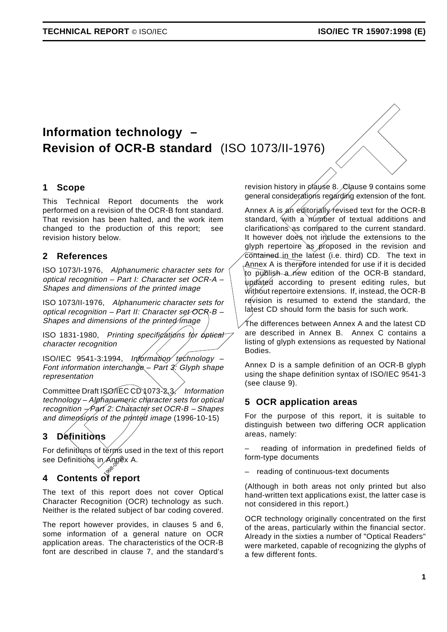# **Information technology – Revision of OCR-B standard** (ISO 1073/II-1976)

### **1 Scope**

This Technical Report documents the work performed on a revision of the OCR-B font standard. That revision has been halted, and the work item changed to the production of this report; see revision history below.

#### **2 References**

ISO 1073/I-1976, Alphanumeric character sets for optical recognition – Part I: Character set OCR-A – Shapes and dimensions of the printed image

ISO 1073/II-1976, Alphanumeric character sets for optical recognition – Part II: Character set OCR-B – Shapes and dimensions of the printed image

ISO 1831-1980, Printing specifications for optical character recognition

 $ISO/IEC$  9541-3:1994, Information technology – Font information interchange – Part  $\hat{A}$ : Glyph shape representation

Committee Draft ISO/IEC CD 1073-2.3, Information  $technoloav - Abhamu$ meric character sets for optical recognition  $\angle$  Part 2: Character set OCR-B – Shapes and dimensions of the printed image (1996-10-15)

# **3 Definitions**

For definitions of terms used in the text of this report see Definitions in Annex A.

# **4 Contents of report**

The text of this report does not cover Optical Character Recognition (OCR) technology as such. Neither is the related subject of bar coding covered.

The report however provides, in clauses 5 and 6, some information of a general nature on OCR application areas. The characteristics of the OCR-B font are described in clause 7, and the standard's revision history in clause 8. Clause 9 contains some general considerations regarding extension of the font.

**Proposition of OCR-B standard** (ISO 1073/II-1976)<br> **DRAFTREE CONDITION CONTINUIS (CONTERNATION** considers the section of the OCR-B intervalse is considered to a revision of the OCR-B for the section and the section of th Annex A is an editorially revised text for the OCR-B standard, with a number of textual additions and clarifications as compared to the current standard. It however does not include the extensions to the glyph repertoire as proposed in the revision and contained in the latest (i.e. third) CD. The text in Annex A is therefore intended for use if it is decided to publish a new edition of the OCR-B standard, updated according to present editing rules, but without repertoire extensions. If, instead, the OCR-B revision is resumed to extend the standard, the latest CD should form the basis for such work.

The differences between Annex A and the latest CD are described in Annex B. Annex C contains a listing of glyph extensions as requested by National Bodies.

Annex D is a sample definition of an OCR-B glyph using the shape definition syntax of ISO/IEC 9541-3 (see clause 9).

#### **5 OCR application areas**

For the purpose of this report, it is suitable to distinguish between two differing OCR application areas, namely:

reading of information in predefined fields of form-type documents

– reading of continuous-text documents

(Although in both areas not only printed but also hand-written text applications exist, the latter case is not considered in this report.)

OCR technology originally concentrated on the first of the areas, particularly within the financial sector. Already in the sixties a number of "Optical Readers" were marketed, capable of recognizing the glyphs of a few different fonts.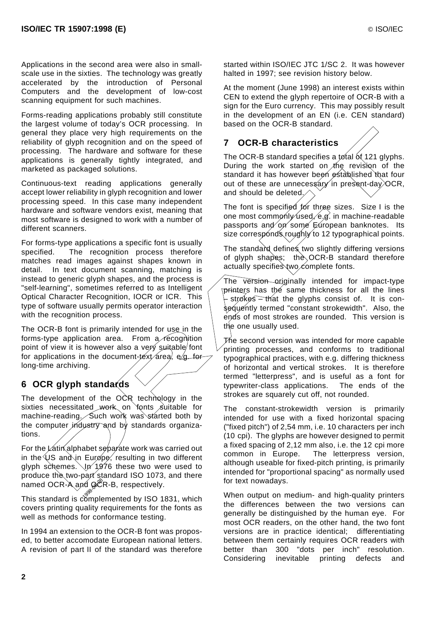Applications in the second area were also in smallscale use in the sixties. The technology was greatly accelerated by the introduction of Personal Computers and the development of low-cost scanning equipment for such machines.

Forms-reading applications probably still constitute the largest volume of today's OCR processing. In general they place very high requirements on the reliability of glyph recognition and on the speed of processing. The hardware and software for these applications is generally tightly integrated, and marketed as packaged solutions.

Continuous-text reading applications generally accept lower reliability in glyph recognition and lower processing speed. In this case many independent hardware and software vendors exist, meaning that most software is designed to work with a number of different scanners.

For forms-type applications a specific font is usually specified. The recognition process therefore matches read images against shapes known in detail. In text document scanning, matching is instead to generic glyph shapes, and the process is "self-learning", sometimes referred to as Intelligent Optical Character Recognition, IOCR or ICR. This type of software usually permits operator interaction with the recognition process.

The OCR-B font is primarily intended for use in the forms-type application area. From  $\alpha$  recognition point of view it is however also a very suitable font for applications in the document-text area,  $e.g.$  for long-time archiving.

# **6 OCR glyph standards**

The development of the OCR technology in the sixties necessitated work on fonts suitable for machine-reading. Such work was started both by the computer industry and by standards organizations.

For the Latin alphabet separate work was carried out in the  $US$  and in Europe, resulting in two different glyph schemes. In 1976 these two were used to produce the two-part standard ISO 1073, and there named OCR-A and QCR-B, respectively.

This standard is  $\ddot{\circ}$  molemented by ISO 1831, which covers printing quality requirements for the fonts as well as methods for conformance testing.

In 1994 an extension to the OCR-B font was proposed, to better accomodate European national letters. A revision of part II of the standard was therefore started within ISO/IEC JTC 1/SC 2. It was however halted in 1997; see revision history below.

At the moment (June 1998) an interest exists within CEN to extend the glyph repertoire of OCR-B with a sign for the Euro currency. This may possibly result in the development of an EN (i.e. CEN standard) based on the OCR-B standard.

### **7 OCR-B characteristics**

The OCR-B standard specifies a total of 121 glyphs. During the work started on the revision of the standard it has however been established that four out of these are unnecessary in present-day  $OCR$ , and should be deleted.

The font is specified for three sizes. Size I is the one most commonly used, e.g. in machine-readable passports and on some European banknotes. Its size corresponds roughly to 12 typographical points.

The standard defines two slightly differing versions of glyph shapes; the OCR-B standard therefore actually specifies two complete fonts.

The version originally intended for impact-type printers has the same thickness for all the lines – strokes – that the glyphs consist of. It is consequently termed "constant strokewidth". Also, the ends of most strokes are rounded. This version is the one usually used.

The second version was intended for more capable printing processes, and conforms to traditional typographical practices, with e.g. differing thickness of horizontal and vertical strokes. It is therefore termed "letterpress", and is useful as a font for typewriter-class applications. The ends of the strokes are squarely cut off, not rounded.

al they place are high tensor and solution the speed of the state and state of the state and state of the matter and state of the state and state of the energy of the higher place and state and state and state and state an The constant-strokewidth version is primarily intended for use with a fixed horizontal spacing ("fixed pitch") of 2,54 mm, i.e. 10 characters per inch (10 cpi). The glyphs are however designed to permit a fixed spacing of 2,12 mm also, i.e. the 12 cpi more common in Europe. The letterpress version, although useable for fixed-pitch printing, is primarily intended for "proportional spacing" as normally used for text nowadays.

When output on medium- and high-quality printers the differences between the two versions can generally be distinguished by the human eye. For most OCR readers, on the other hand, the two font versions are in practice identical; differentiating between them certainly requires OCR readers with better than 300 "dots per inch" resolution. Considering inevitable printing defects and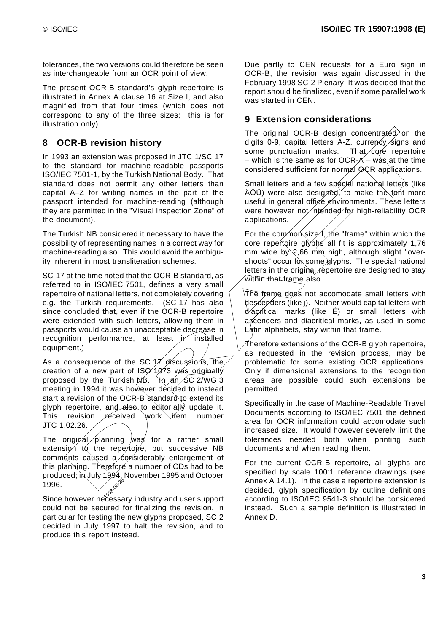tolerances, the two versions could therefore be seen as interchangeable from an OCR point of view.

The present OCR-B standard's glyph repertoire is illustrated in Annex A clause 16 at Size I, and also magnified from that four times (which does not correspond to any of the three sizes; this is for illustration only).

#### **8 OCR-B revision history**

In 1993 an extension was proposed in JTC 1/SC 17 to the standard for machine-readable passports ISO/IEC 7501-1, by the Turkish National Body. That standard does not permit any other letters than capital A–Z for writing names in the part of the passport intended for machine-reading (although they are permitted in the "Visual Inspection Zone" of the document).

The Turkish NB considered it necessary to have the possibility of representing names in a correct way for machine-reading also. This would avoid the ambiguity inherent in most transliteration schemes.

SC 17 at the time noted that the OCR-B standard, as referred to in ISO/IEC 7501, defines a very small repertoire of national letters, not completely covering e.g. the Turkish requirements. (SC 17 has also since concluded that, even if the OCR-B repertoire were extended with such letters, allowing them in passports would cause an unacceptable decrease in recognition performance, at least  $\hat{m}$  installed equipment.) **CR-B revision history**<br> **CR-B revision history**<br> **CR-B revision history**<br> **CR-B revision history**<br> **STAR and CONFIDENTIFY** and CR-B remember and the same as for OCR-A – was at the time<br>
and the moment-readed by asspect i

As a consequence of the SC  $\chi\gamma$  discussions, the creation of a new part of ISO 1073 was originally proposed by the Turkish  $M\overline{B}$ . In an SC 2/WG 3 meeting in 1994 it was however decided to instead start a revision of the OCR-B standard to extend its glyph repertoire, and also to editorially update it.<br>This revision received work item number This revision  $\sqrt{\ }$ eceived JTC 1.02.26.

The original planning was for a rather small extension to the repertoire, but successive NB comments caused a considerably enlargement of this planning. Therefore a number of CDs had to be produced; in July 1994, November 1995 and October 1996. 8-06-2

Since however necessary industry and user support could not be secured for finalizing the revision, in particular for testing the new glyphs proposed, SC 2 decided in July 1997 to halt the revision, and to produce this report instead.

Due partly to CEN requests for a Euro sign in OCR-B, the revision was again discussed in the February 1998 SC 2 Plenary. It was decided that the report should be finalized, even if some parallel work was started in CEN.

#### **9 Extension considerations**

The original OCR-B design concentrated on the digits 0-9, capital letters A-Z, currency signs and some punctuation marks. That  $c$  ore repertoire – which is the same as for OCR $\hat{A}$  – was at the time considered sufficient for normal OCR applications.

Small letters and a few special national letters (like AÖÜ) were also designed, to make the font more useful in general office environments. These letters were however not intended for high-reliability OCR applications.

For the common size  $\frac{1}{2}$  the "frame" within which the core repertoire glyphs all fit is approximately 1,76 mm wide by  $2,66$  mm high, although slight "overshoots" occur for some glyphs. The special national letters in the original repertoire are designed to stay within that frame also.

The frame does not accomodate small letters with descenders (like j). Neither would capital letters with diacritical marks (like É) or small letters with ascenders and diacritical marks, as used in some Latin alphabets, stay within that frame.

Therefore extensions of the OCR-B glyph repertoire, as requested in the revision process, may be problematic for some existing OCR applications. Only if dimensional extensions to the recognition areas are possible could such extensions be permitted.

Specifically in the case of Machine-Readable Travel Documents according to ISO/IEC 7501 the defined area for OCR information could accomodate such increased size. It would however severely limit the tolerances needed both when printing such documents and when reading them.

For the current OCR-B repertoire, all glyphs are specified by scale 100:1 reference drawings (see Annex A 14.1). In the case a repertoire extension is decided, glyph specification by outline definitions according to ISO/IEC 9541-3 should be considered instead. Such a sample definition is illustrated in Annex D.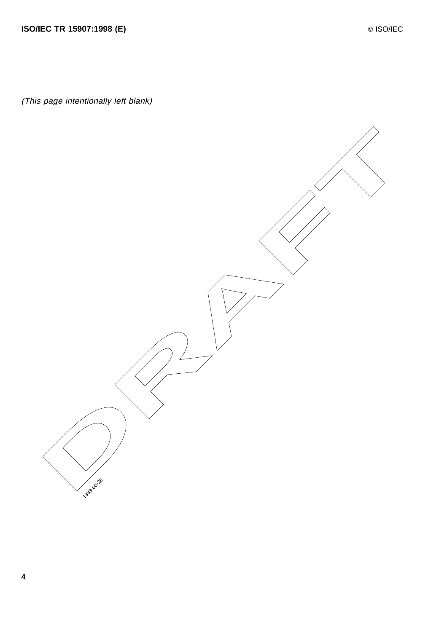(This page intentionally left blank)

**DRAFT**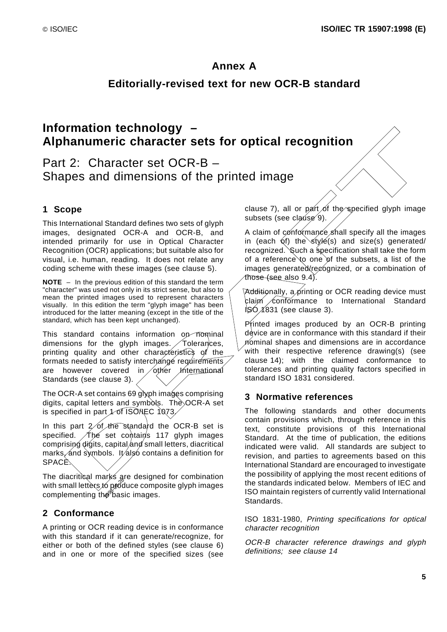# **Annex A**

# **Editorially-revised text for new OCR-B standard**

# **Information technology – Alphanumeric character sets for optical recognition**

Part 2: Character set OCR-B – Shapes and dimensions of the printed image

# **1 Scope**

This International Standard defines two sets of glyph images, designated OCR-A and OCR-B, and intended primarily for use in Optical Character Recognition (OCR) applications; but suitable also for visual, i.e. human, reading. It does not relate any coding scheme with these images (see clause 5).

**NOTE** – In the previous edition of this standard the term "character" was used not only in its strict sense, but also to mean the printed images used to represent characters visually. In this edition the term "glyph image" has been introduced for the latter meaning (except in the title of the standard, which has been kept unchanged).

This standard contains information  $\alpha$ -nominal dimensions for the glyph images.  $\diagup$  Tolerances, printing quality and other characteristics  $\delta$ f the formats needed to satisfy interchange requirements are however covered in  $\sqrt{}$  other International Standards (see clause 3).

The OCR-A set contains 69 glyph images comprising digits, capital letters and symbols. The OCR-A set is specified in part of ISO/IEC 1073.

In this part  $2$  of the standard the OCR-B set is specified.  $\sqrt{T}$ he set contains 117 glyph images comprising digits, capital and small letters, diacritical  $marks\$  and symbols. It also contains a definition for SPACE.

The diacritical marks are designed for combination with small letters to produce composite glyph images complementing the basic images.

# **2 Conformance**

A printing or OCR reading device is in conformance with this standard if it can generate/recognize, for either or both of the defined styles (see clause 6) and in one or more of the specified sizes (see

clause 7), all or part/of the specified glyph image subsets (see clause 9).

A claim of conformance shall specify all the images in (each  $\delta$ ) the style(s) and size(s) generated/ recognized. Such a specification shall take the form of a reference to one of the subsets, a list of the images generated/recognized, or a combination of those (see also 9.4).

Additionally, a printing or OCR reading device must claim conformance to International Standard  $\overline{1}$ SO 1831 (see clause 3).

Printed images produced by an OCR-B printing device are in conformance with this standard if their nominal shapes and dimensions are in accordance with their respective reference drawing(s) (see clause 14); with the claimed conformance to tolerances and printing quality factors specified in standard ISO 1831 considered.

#### **3 Normative references**

**IT Altitude Section of the control of the section of the section of the section of the section of the section of the section of the section of the section of the section of the section of the section of the section of the** The following standards and other documents contain provisions which, through reference in this text, constitute provisions of this International Standard. At the time of publication, the editions indicated were valid. All standards are subject to revision, and parties to agreements based on this International Standard are encouraged to investigate the possibility of applying the most recent editions of the standards indicated below. Members of IEC and ISO maintain registers of currently valid International Standards.

> ISO 1831-1980, Printing specifications for optical character recognition

> OCR-B character reference drawings and glyph definitions; see clause 14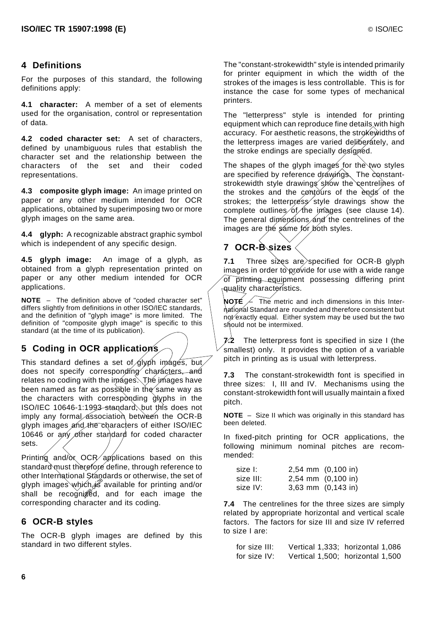#### **4 Definitions**

For the purposes of this standard, the following definitions apply:

**4.1 character:** A member of a set of elements used for the organisation, control or representation of data.

**4.2 coded character set:** A set of characters, defined by unambiguous rules that establish the character set and the relationship between the characters of the set and their coded representations.

**4.3 composite glyph image:** An image printed on paper or any other medium intended for OCR applications, obtained by superimposing two or more glyph images on the same area.

**4.4 glyph:** A recognizable abstract graphic symbol which is independent of any specific design.

**4.5 glyph image:** An image of a glyph, as obtained from a glyph representation printed on paper or any other medium intended for OCR applications.

**NOTE** – The definition above of "coded character set" differs slightly from definitions in other ISO/IEC standards, and the definition of "glyph image" is more limited. The definition of "composite glyph image" is specific to this standard (at the time of its publication).

# **5 Coding in OCR applications**

**Coded character set:** A set of characters,<br>
the latterpress images are varied delibyeratives, and<br>
the latterpress images are varied delibyerately, and<br>
the rest and the relationship between the<br>
the strive endings are sp This standard defines a set of glyph images, but does not specify corresponding characters, and relates no coding with the images. The images have been named as far as possible in the same way as the characters with corresponding glyphs in the ISO/IEC 10646-1:1993 standard, but this does not imply any formal association between the OCR-B glyph images and the characters of either ISO/IEC 10646 or any other standard for coded character sets.

Printing and/or  $OCR$  applications based on this standard must therefore define, through reference to other International Standards or otherwise, the set of glyph images which is available for printing and/or shall be recognized, and for each image the corresponding character and its coding.

#### **6 OCR-B styles**

The OCR-B glyph images are defined by this standard in two different styles.

The "constant-strokewidth" style is intended primarily for printer equipment in which the width of the strokes of the images is less controllable. This is for instance the case for some types of mechanical printers.

The "letterpress" style is intended for printing equipment which can reproduce fine details with high accuracy. For aesthetic reasons, the strokewidths of the letterpress images are varied deliberately, and the stroke endings are specially designed.

The shapes of the glyph images for the two styles are specified by reference drawings. The constantstrokewidth style drawings show the centrelines of the strokes and the  $\mathcal{L}$  ontours of the ends of the strokes; the letterpress style drawings show the complete outlines of the images (see clause 14). The general dimensions and the centrelines of the images are the same for both styles.

# **7 OCR-B sizes**

**7.1** Three sizes are specified for OCR-B glyph images in order to provide for use with a wide range of printing equipment possessing differing print quality characteristics.

**NOTE**  $\neq$  The metric and inch dimensions in this International Standard are rounded and therefore consistent but not exactly equal. Either system may be used but the two should not be intermixed.

**7.2** The letterpress font is specified in size I (the smallest) only. It provides the option of a variable pitch in printing as is usual with letterpress.

**7.3** The constant-strokewidth font is specified in three sizes: I, III and IV. Mechanisms using the constant-strokewidth font will usually maintain a fixed pitch.

**NOTE** – Size II which was originally in this standard has been deleted.

In fixed-pitch printing for OCR applications, the following minimum nominal pitches are recommended:

| size I:   | 2,54 mm (0,100 in)     |
|-----------|------------------------|
| size III: | $2,54$ mm $(0,100)$ in |
| size IV:  | 3,63 mm $(0, 143$ in)  |

**7.4** The centrelines for the three sizes are simply related by appropriate horizontal and vertical scale factors. The factors for size III and size IV referred to size I are:

for size III: Vertical 1,333; horizontal 1,086 for size IV: Vertical 1,500; horizontal 1,500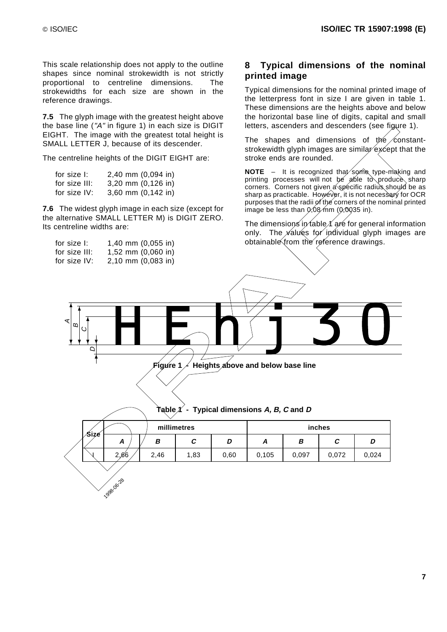This scale relationship does not apply to the outline shapes since nominal strokewidth is not strictly proportional to centreline dimensions. The strokewidths for each size are shown in the reference drawings.

**7.5** The glyph image with the greatest height above the base line ("A" in figure 1) in each size is DIGIT EIGHT. The image with the greatest total height is SMALL LETTER J, because of its descender.

The centreline heights of the DIGIT EIGHT are:

| for size I:   | 2,40 mm (0,094 in)    |
|---------------|-----------------------|
| for size III: | 3,20 mm $(0,126$ in)  |
| for size IV:  | 3,60 mm $(0, 142$ in) |

**7.6** The widest glyph image in each size (except for the alternative SMALL LETTER M) is DIGIT ZERO. Its centreline widths are:

for size I: 1,40 mm (0,055 in) for size III: 1,52 mm (0,060 in) for size IV: 2,10 mm (0,083 in)

#### **8 Typical dimensions of the nominal printed image**

Typical dimensions for the nominal printed image of the letterpress font in size I are given in table 1. These dimensions are the heights above and below the horizontal base line of digits, capital and small letters, ascenders and descenders (see figure 1).



#### **Table 1 - Typical dimensions A, B, C and D**

| size I:<br>size III:<br>size IV:  | $\mathsf{RSE}$ line ( $\mathsf{A}$ . In ligure 1) in each size is DiGTT<br>T. The image with the greatest total height is<br>L LETTER J, because of its descender.<br>entreline heights of the DIGIT EIGHT are:<br>$2,40$ mm $(0,094$ in)<br>3,20 mm (0,126 in)<br>3,60 mm (0,142 in)<br>he widest glyph image in each size (except for | letters, ascenders and descenders (see ligure 1).<br>The shapes and dimensions of $the$ constant-<br>strokewidth glyph images are similar except that the<br>stroke ends are rounded.<br>NOTE - It is recognized that some type-making and<br>printing processes will not be able to produce sharp<br>corners. Corners not given a specific radius should be as<br>sharp as practicable. However, it is not necessary for OCR<br>purposes that the radijof the corners of the nominal printed |      |                                          |        |           |                                                                                                           |  |
|-----------------------------------|-----------------------------------------------------------------------------------------------------------------------------------------------------------------------------------------------------------------------------------------------------------------------------------------------------------------------------------------|-----------------------------------------------------------------------------------------------------------------------------------------------------------------------------------------------------------------------------------------------------------------------------------------------------------------------------------------------------------------------------------------------------------------------------------------------------------------------------------------------|------|------------------------------------------|--------|-----------|-----------------------------------------------------------------------------------------------------------|--|
| ntreline widths are:              | ternative SMALL LETTER M) is DIGIT ZERO.                                                                                                                                                                                                                                                                                                |                                                                                                                                                                                                                                                                                                                                                                                                                                                                                               |      | image be less than $0.08$ mm/0,0035 in). |        |           | The dimensions in table 1 are for general information<br>only. The values for individual glyph images are |  |
| ∵size I:<br>size III:<br>size IV: | 1,40 mm $(0,055$ in)<br>1,52 mm (0,060 in)<br>2,10 mm (0,083 in)                                                                                                                                                                                                                                                                        |                                                                                                                                                                                                                                                                                                                                                                                                                                                                                               |      | obtainable from the reference drawings.  |        |           |                                                                                                           |  |
| ⋖<br>ω<br>≏                       |                                                                                                                                                                                                                                                                                                                                         | Figúre 1∕ - <i>H</i> eights above and below base line                                                                                                                                                                                                                                                                                                                                                                                                                                         |      |                                          |        |           |                                                                                                           |  |
|                                   |                                                                                                                                                                                                                                                                                                                                         | Table $\Lambda$ - Typical dimensions A, B, C and D<br>millimetres                                                                                                                                                                                                                                                                                                                                                                                                                             |      |                                          | inches |           |                                                                                                           |  |
| Size                              | В<br>Α                                                                                                                                                                                                                                                                                                                                  | $\boldsymbol{c}$                                                                                                                                                                                                                                                                                                                                                                                                                                                                              | D    | A                                        | В      | $\pmb{C}$ | D                                                                                                         |  |
|                                   | 2,66<br>2,46                                                                                                                                                                                                                                                                                                                            | 1,83                                                                                                                                                                                                                                                                                                                                                                                                                                                                                          | 0,60 | 0,105                                    | 0,097  | 0,072     | 0,024                                                                                                     |  |
|                                   | 1998-06-28                                                                                                                                                                                                                                                                                                                              |                                                                                                                                                                                                                                                                                                                                                                                                                                                                                               |      |                                          |        |           |                                                                                                           |  |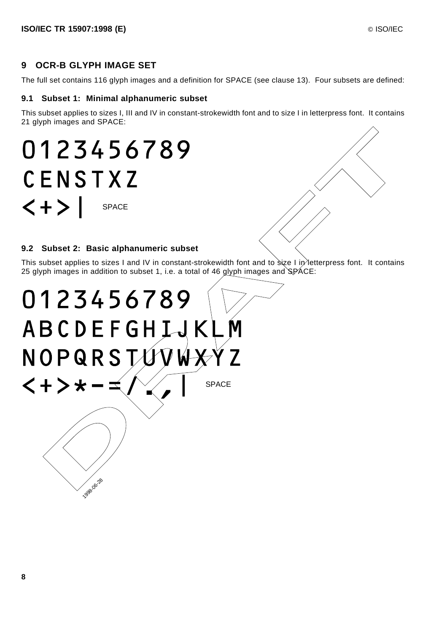### **9 OCR-B GLYPH IMAGE SET**

The full set contains 116 glyph images and a definition for SPACE (see clause 13). Four subsets are defined:

#### **9.1 Subset 1: Minimal alphanumeric subset**

This subset applies to sizes I, III and IV in constant-strokewidth font and to size I in letterpress font. It contains 21 glyph images and SPACE:

SPACE

#### **9.2 Subset 2: Basic alphanumeric subset**

This subset applies to sizes I and IV in constant-strokewidth font and to size I in letterpress font. It contains 25 glyph images in addition to subset 1, i.e. a total of 46 glyph images and SPACE:

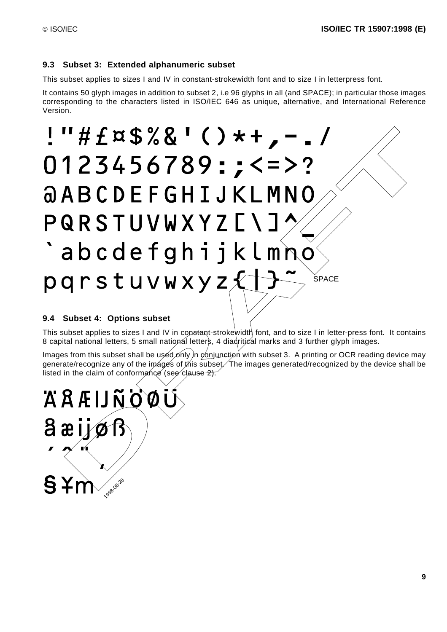#### **9.3 Subset 3: Extended alphanumeric subset**

This subset applies to sizes I and IV in constant-strokewidth font and to size I in letterpress font.

It contains 50 glyph images in addition to subset 2, i.e 96 glyphs in all (and SPACE); in particular those images corresponding to the characters listed in ISO/IEC 646 as unique, alternative, and International Reference Version.

# **PRAFT**<br> **PRAFTIMATELATS CONSULTS CONSULTS CONSULTS**<br> **PRAFTIMATELATS CONSULTS CONSULTS CONSULTS**<br> **PRAFTIMATELATS CONSULTS CONSULTS**<br> **PRAFTIMATELATS CONSULTS**<br>
<br> **PRAFTIMATELATS**<br> **EXISTENT CONSULTS CONSULTS**<br>
<br> **EXISTE SPACE**

#### **9.4 Subset 4: Options subset**

This subset applies to sizes I and IV in constant-strokewidth font, and to size I in letter-press font. It contains 8 capital national letters, 5 small national letters, 4 diagritical marks and 3 further glyph images.

Images from this subset shall be used only in conjunction with subset 3. A printing or OCR reading device may generate/recognize any of the images of this subset. The images generated/recognized by the device shall be listed in the claim of conformance (see clause  $2$ ).

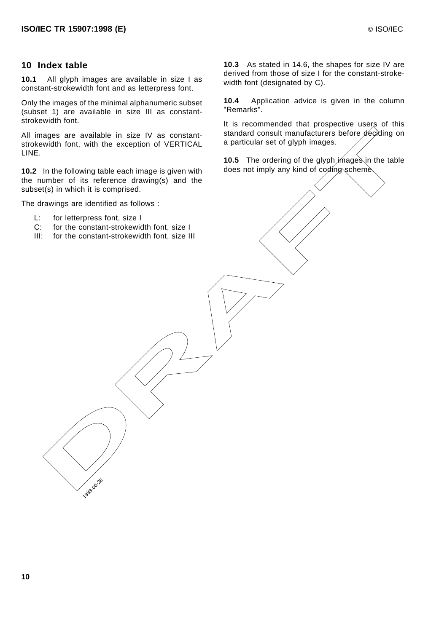#### **10 Index table**

**10.1** All glyph images are available in size I as constant-strokewidth font and as letterpress font.

Only the images of the minimal alphanumeric subset (subset 1) are available in size III as constantstrokewidth font.

All images are available in size IV as constantstrokewidth font, with the exception of VERTICAL LINE.

ages are available in size IV as constant.<br>
siandrad consult manufactures before deedfing on<br>
width fort, with the exception of VERTICAL and the<br>
In the following table achaining is given with<br>
the following table achainse **10.2** In the following table each image is given with the number of its reference drawing(s) and the subset(s) in which it is comprised.

The drawings are identified as follows :

- L: for letterpress font, size I
- C: for the constant-strokewidth font, size I
- III: for the constant-strokewidth font, size III

**10.3** As stated in 14.6, the shapes for size IV are derived from those of size I for the constant-strokewidth font (designated by C).

**10.4** Application advice is given in the column "Remarks".

It is recommended that prospective users of this standard consult manufacturers before deciding on a particular set of glyph images.

10.5 The ordering of the glyph/mages in the table does not imply any kind of coding scheme.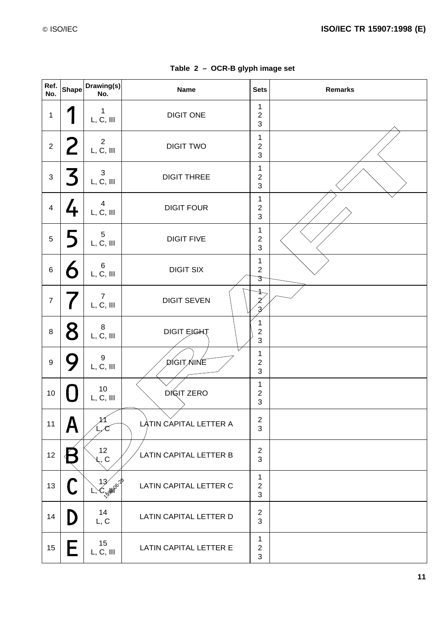| Ref.<br>No.             | Shape               | Drawing(s)<br>No.                    | <b>Name</b>            | <b>Sets</b>                                      | <b>Remarks</b> |
|-------------------------|---------------------|--------------------------------------|------------------------|--------------------------------------------------|----------------|
| 1                       |                     | $\mathbf 1$<br>L, C, III             | <b>DIGIT ONE</b>       | $\mathbf{1}$<br>$\overline{c}$<br>3              |                |
| $\mathbf 2$             | 2                   | $\overline{c}$<br>L, C, III          | <b>DIGIT TWO</b>       | 1<br>$\overline{2}$<br>3                         |                |
| $\sqrt{3}$              | 3                   | $\sqrt{3}$<br>L, C, III              | <b>DIGIT THREE</b>     | 1<br>2<br>3                                      |                |
| $\overline{\mathbf{4}}$ | 4                   | $\overline{\mathbf{4}}$<br>L, C, III | <b>DIGIT FOUR</b>      | 1<br>$\overline{c}$<br>3                         |                |
| $\mathbf 5$             | 5                   | $\mathbf 5$<br>L, C, III             | <b>DIGIT FIVE</b>      | 1<br>$\overline{c}$<br>$\ensuremath{\mathsf{3}}$ |                |
| $\,6\,$                 | 6                   | 6<br>L, C, III                       | <b>DIGIT SIX</b>       | 1<br>2<br>3                                      |                |
| $\boldsymbol{7}$        | $\overline{\prime}$ | $\overline{7}$<br>L, C, III          | <b>DIGIT SEVEN</b>     | 1<br>$\overline{z}$<br>$\overline{\mathbf{3}}$   |                |
| $\,8\,$                 | 8                   | 8<br>L, C, III                       | <b>DIGIT EIGHT</b>     | 1<br>$\mathbf{2}$<br>3                           |                |
| $\boldsymbol{9}$        | 9                   | $\boldsymbol{9}$<br>L, C, III        | <b>DIGIT NINE</b>      | 1<br>$\boldsymbol{2}$<br>$\sqrt{3}$              |                |
| $10$                    | l J                 | 10<br>L, C, III                      | DIGIT ZERO             | 1<br>2<br>$\sqrt{3}$                             |                |
| 11                      | Ä                   | $\mathcal{N}$ 1<br>Ļ,Ć               | LATIN CAPITAL LETTER A | $\sqrt{2}$<br>3                                  |                |
| 12                      |                     | 12<br>√C                             | LATIN CAPITAL LETTER B | $\overline{2}$<br>3                              |                |
| 13                      | Ç                   | 13 698                               | LATIN CAPITAL LETTER C | $\mathbf{1}$<br>$\boldsymbol{2}$<br>3            |                |
| 14                      | D                   | 14<br>L, C                           | LATIN CAPITAL LETTER D | $\overline{2}$<br>3                              |                |
| 15                      | Е                   | 15<br>L, C, III                      | LATIN CAPITAL LETTER E | $\mathbf{1}$<br>$\overline{2}$<br>3              |                |

**Table 2 – OCR-B glyph image set**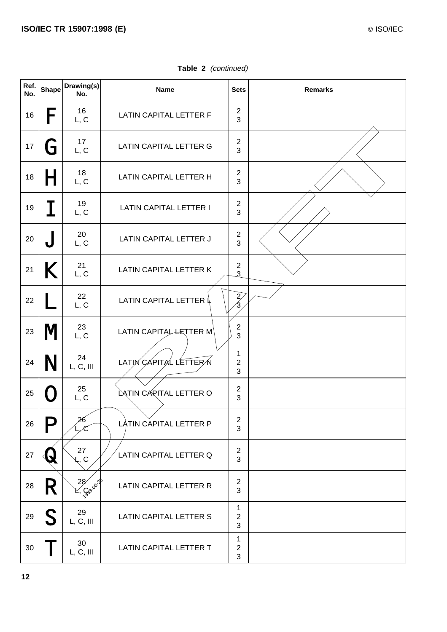|  | Table 2 (continued) |
|--|---------------------|
|  |                     |

| Ref.<br>No. | <b>Shape</b> | Drawing(s)<br>No.       | <b>Name</b>                   | <b>Sets</b>                                    | <b>Remarks</b> |
|-------------|--------------|-------------------------|-------------------------------|------------------------------------------------|----------------|
| 16          | F            | 16<br>L, C              | LATIN CAPITAL LETTER F        | $\overline{2}$<br>3                            |                |
| 17          | G            | 17<br>L, C              | <b>LATIN CAPITAL LETTER G</b> | $\boldsymbol{2}$<br>3                          |                |
| 18          | Н            | 18<br>L, C              | LATIN CAPITAL LETTER H        | $\overline{c}$<br>3                            |                |
| 19          | I            | 19<br>L, C              | <b>LATIN CAPITAL LETTER I</b> | $\boldsymbol{2}$<br>3                          |                |
| 20          | J            | 20<br>L, C              | LATIN CAPITAL LETTER J        | $\mathbf{2}$<br>$\mathbf{3}$                   |                |
| 21          | K            | 21<br>L, C              | LATIN CAPITAL LETTER K        | $\mathbf{2}$<br>$\overline{3}$                 |                |
| 22          |              | 22<br>L, C              | LATIN CAPITAL LETTER I        | $\frac{2}{3}$                                  |                |
| 23          | Μ            | 23<br>L, C              | LATIN CAPITAL LETTER M        | $\boldsymbol{2}$<br>3                          |                |
| 24          | N            | 24<br>L, C, III         | LATIN CAPITALLETTER N         | $\mathbf{1}$<br>$\overline{2}$<br>$\mathbf{3}$ |                |
| 25          | $\Box$       | 25<br>L, C              | LATIN CÁRITAL LETTER O        | $\overline{c}$<br>3                            |                |
| 26          | Р            | $\widetilde{26}$<br>Ļ,Ć | LATIN CAPITAL LETTER P        | $\overline{\mathbf{c}}$<br>3                   |                |
| 27          | Q            | 27<br>$\mathcal{L}$ , C | LATIN CAPITAL LETTER Q        | $\mathbf{2}$<br>$\mathbf{3}$                   |                |
| 28          | R            | 28 6969                 | LATIN CAPITAL LETTER R        | $\mathbf{2}$<br>$\mathfrak{S}$                 |                |
| 29          | S            | 29<br>L, C, III         | LATIN CAPITAL LETTER S        | $\mathbf{1}$<br>$\mathbf 2$<br>3               |                |
| 30          |              | 30<br>L, C, III         | LATIN CAPITAL LETTER T        | $\mathbf{1}$<br>$\overline{2}$<br>3            |                |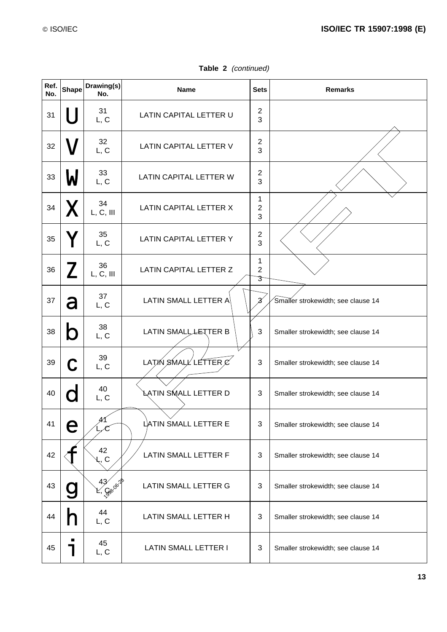| Ref.<br>No. | <b>Shape</b>   | Drawing(s)<br>No.           | <b>Name</b>                   | <b>Sets</b>                  | <b>Remarks</b>                     |
|-------------|----------------|-----------------------------|-------------------------------|------------------------------|------------------------------------|
| 31          | U              | 31<br>L, C                  | LATIN CAPITAL LETTER U        | $\overline{\mathbf{c}}$<br>3 |                                    |
| 32          |                | 32<br>L, C                  | LATIN CAPITAL LETTER V        | $\overline{c}$<br>3          |                                    |
| 33          | W              | 33<br>L, C                  | <b>LATIN CAPITAL LETTER W</b> | $\overline{c}$<br>3          |                                    |
| 34          |                | 34<br>L, C, III             | LATIN CAPITAL LETTER X        | 1<br>$\overline{2}$<br>3     |                                    |
| 35          |                | 35<br>L, C                  | LATIN CAPITAL LETTER Y        | $\overline{2}$<br>3          |                                    |
| 36          | $\mathsf Z$    | 36<br>L, C, III             | LATIN CAPITAL LETTER Z        | 1<br>$\overline{2}$<br>3     |                                    |
| 37          | a              | 37<br>L, C                  | LATIN SMALL LETTER A          | $\mathcal{Z}$                | Smaller strokewidth; see clause 14 |
| 38          | O              | 38<br>L, C                  | LATIN SMALL_LETTER B          | 3                            | Smaller strokewidth; see clause 14 |
| 39          | C              | 39<br>L, C                  | LATIN SMALL LETTER C          | 3                            | Smaller strokewidth; see clause 14 |
| 40          |                | 40<br>L, C                  | <u> LATIN SMALL LETTER D</u>  | 3                            | Smaller strokewidth; see clause 14 |
| 41          | e              | $\sqrt{1}$<br>ĻĆ            | LATIN SMALL LETTER E          | 3                            | Smaller strokewidth; see clause 14 |
| 42          |                | 42<br>$\mathsf C$           | <b>LATIN SMALL LETTER F</b>   | 3                            | Smaller strokewidth; see clause 14 |
| 43          | g              | 43 <sup>′</sup><br>. Gagaay | LATIN SMALL LETTER G          | 3                            | Smaller strokewidth; see clause 14 |
| 44          | $\mathsf{\Pi}$ | 44<br>L, C                  | LATIN SMALL LETTER H          | 3                            | Smaller strokewidth; see clause 14 |
| 45          |                | 45<br>L, C                  | LATIN SMALL LETTER I          | 3                            | Smaller strokewidth; see clause 14 |

**Table 2** (continued)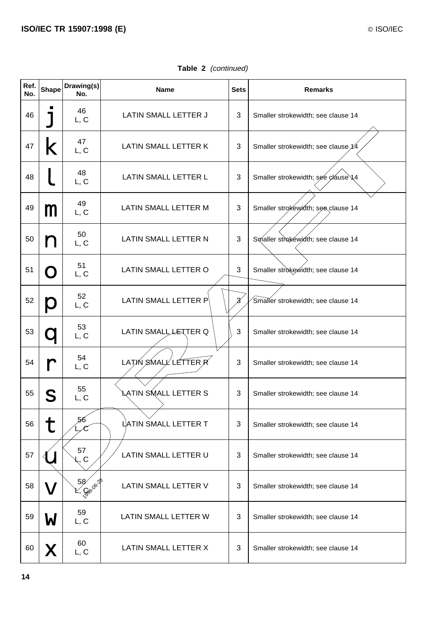| Ref.<br>No. | <b>Shape</b> | Drawing(s)<br>No. | <b>Name</b>                 | <b>Sets</b>               | <b>Remarks</b>                     |
|-------------|--------------|-------------------|-----------------------------|---------------------------|------------------------------------|
| 46          |              | 46<br>L, C        | LATIN SMALL LETTER J        | 3                         | Smaller strokewidth; see clause 14 |
| 47          | K.           | 47<br>L, C        | LATIN SMALL LETTER K        | 3                         | Smaller strokewidth; see clause 14 |
| 48          |              | 48<br>L, C        | LATIN SMALL LETTER L        | 3                         | Smaller strokewidth; sée clause 14 |
| 49          | m            | 49<br>L, C        | LATIN SMALL LETTER M        | 3                         | Smaller strøkewidth; see clause 14 |
| 50          | N            | 50<br>L, C        | <b>LATIN SMALL LETTER N</b> | 3                         | Smaller strokewidth; see clause 14 |
| 51          | O            | 51<br>L, C        | LATIN SMALL LETTER O        | 3                         | Smaller strokewidth; see clause 14 |
| 52          | p            | 52<br>L, C        | LATIN SMALL LETTER P        | $\chi$                    | Smaller strokewidth; see clause 14 |
| 53          |              | 53<br>L, C        | LATIN SMALL_LETTER Q        | 3                         | Smaller strokewidth; see clause 14 |
| 54          | r            | 54<br>L, C        | LATIN SMALL LETTER R        | 3                         | Smaller strokewidth; see clause 14 |
| 55          | S            | 55<br>L, C        | <b>∖ATIN SMALL LETTER S</b> | 3                         | Smaller strokewidth; see clause 14 |
| 56          | t            | 56<br>ĻĆ          | LATIN SMALL LETTER T        | $\mathbf{3}$              | Smaller strokewidth; see clause 14 |
| 57          |              | 57<br>C           | LATIN SMALL LETTER U        | 3                         | Smaller strokewidth; see clause 14 |
| 58          | V            | 58<br>. Gagaay    | LATIN SMALL LETTER V        | $\ensuremath{\mathsf{3}}$ | Smaller strokewidth; see clause 14 |
| 59          | W            | 59<br>L, C        | LATIN SMALL LETTER W        | $\sqrt{3}$                | Smaller strokewidth; see clause 14 |
| 60          | X            | 60<br>L, C        | LATIN SMALL LETTER X        | $\ensuremath{\mathsf{3}}$ | Smaller strokewidth; see clause 14 |

**Table 2** (continued)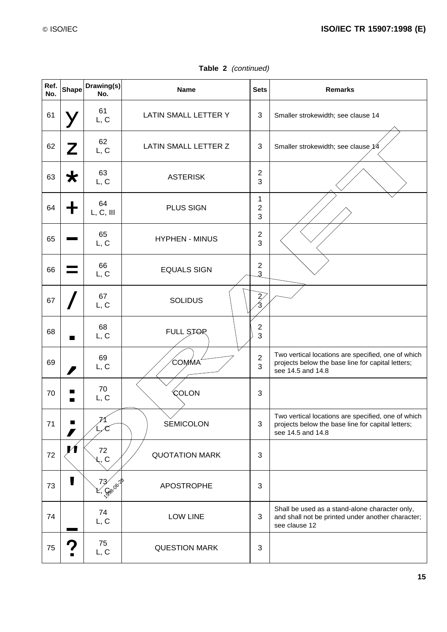| Ref.<br>No. | <b>Shape</b> | Drawing(s)<br>No.    | Name                  | <b>Sets</b>                  | <b>Remarks</b>                                                                                                               |
|-------------|--------------|----------------------|-----------------------|------------------------------|------------------------------------------------------------------------------------------------------------------------------|
| 61          |              | 61<br>L, C           | LATIN SMALL LETTER Y  | 3                            | Smaller strokewidth; see clause 14                                                                                           |
| 62          | Z            | 62<br>L, C           | LATIN SMALL LETTER Z  | 3                            | Smaller strokewidth; see clause 14                                                                                           |
| 63          | $\bigstar$   | 63<br>L, C           | <b>ASTERISK</b>       | $\overline{c}$<br>3          |                                                                                                                              |
| 64          |              | 64<br>L, C, III      | <b>PLUS SIGN</b>      | 1<br>$\overline{c}$<br>3     |                                                                                                                              |
| 65          |              | 65<br>L, C           | <b>HYPHEN - MINUS</b> | $\overline{\mathbf{c}}$<br>3 |                                                                                                                              |
| 66          |              | 66<br>L, C           | <b>EQUALS SIGN</b>    | $\overline{c}$<br>3          |                                                                                                                              |
| 67          |              | 67<br>L, C           | <b>SOLIDUS</b>        | $\frac{2}{3}$                |                                                                                                                              |
| 68          | П            | 68<br>L, C           | <b>FULL STOP</b>      | $\overline{\mathbf{c}}$<br>3 |                                                                                                                              |
| 69          |              | 69<br>L, C           | COMMA                 | $\overline{2}$<br>3          | Two vertical locations are specified, one of which<br>projects below the base line for capital letters;<br>see 14.5 and 14.8 |
| 70          | ■<br>▬       | 70<br>L, C           | <b>COLON</b>          | 3                            |                                                                                                                              |
| 71          | <b>F</b>     | 71<br>, C            | <b>SEMICOLON</b>      | 3                            | Two vertical locations are specified, one of which<br>projects below the base line for capital letters;<br>see 14.5 and 14.8 |
| 72          | I I          | 72<br><sup>1</sup> C | <b>QUOTATION MARK</b> | 3                            |                                                                                                                              |
| 73          | П            | 1. Geograp           | <b>APOSTROPHE</b>     | 3                            |                                                                                                                              |
| 74          |              | 74<br>L, C           | <b>LOW LINE</b>       | 3                            | Shall be used as a stand-alone character only,<br>and shall not be printed under another character;<br>see clause 12         |
| 75          |              | 75<br>L, C           | <b>QUESTION MARK</b>  | 3                            |                                                                                                                              |

**Table 2** (continued)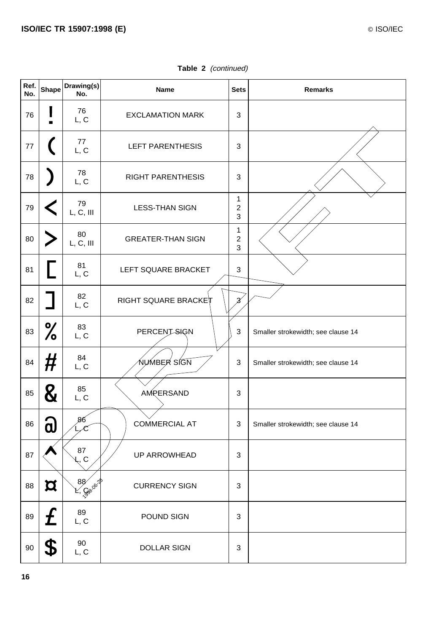| Ref.<br>No. | <b>Shape</b>  | Drawing(s)<br>No.      | <b>Name</b>              | <b>Sets</b>                        | <b>Remarks</b>                     |
|-------------|---------------|------------------------|--------------------------|------------------------------------|------------------------------------|
| 76          |               | 76<br>L, C             | <b>EXCLAMATION MARK</b>  | 3                                  |                                    |
| 77          |               | 77<br>L, C             | <b>LEFT PARENTHESIS</b>  | 3                                  |                                    |
| 78          |               | 78<br>L, C             | <b>RIGHT PARENTHESIS</b> | 3                                  |                                    |
| 79          |               | 79<br>L, C, III        | <b>LESS-THAN SIGN</b>    | $\mathbf 1$<br>$\overline{2}$<br>3 |                                    |
| 80          |               | 80<br>L, C, III        | <b>GREATER-THAN SIGN</b> | 1<br>$\overline{c}$<br>3           |                                    |
| 81          | L             | 81<br>L, C             | LEFT SQUARE BRACKET      | 3                                  |                                    |
| 82          |               | 82<br>L, C             | RIGHT SQUARE BRACKET     | $\overline{\mathcal{Z}}$           |                                    |
| 83          | $\frac{1}{6}$ | 83<br>L, C             | PERCENT SIGN             | 3                                  | Smaller strokewidth; see clause 14 |
| 84          | $\bm{\#}$     | 84<br>L, C             | ŃŴMBER <i>S</i> HGN      | 3                                  | Smaller strokewidth; see clause 14 |
| 85          | <b>8</b>      | 85<br>L, C             | AMPERSAND                | 3                                  |                                    |
| 86          | <u>໌</u> ດ)   | $\mathcal{A}_6$<br>Ļ,Ć | <b>COMMERCIAL AT</b>     | 3                                  | Smaller strokewidth; see clause 14 |
| 87          |               | 87<br>$\alpha$         | UP ARROWHEAD             | $\ensuremath{\mathsf{3}}$          |                                    |
| 88          | $\alpha$      | ., Gascoy              | <b>CURRENCY SIGN</b>     | 3                                  |                                    |
| 89          | £             | 89<br>L, C             | POUND SIGN               | 3                                  |                                    |
| $90\,$      | \$            | 90<br>L, C             | <b>DOLLAR SIGN</b>       | 3                                  |                                    |

**Table 2** (continued)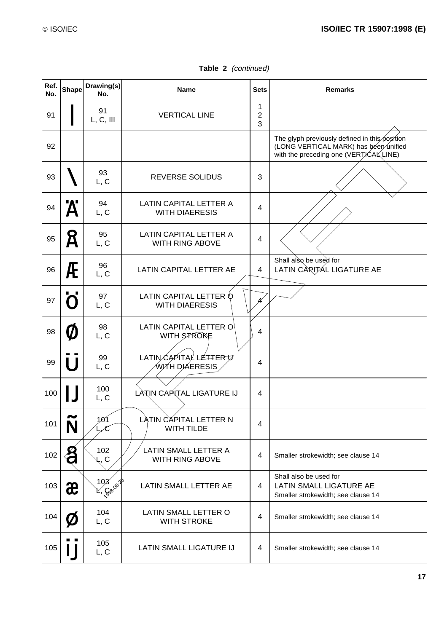| Table 2 (continued)   |               |             |         |  |  |  |
|-----------------------|---------------|-------------|---------|--|--|--|
| wing(s) $\mid$<br>No. | <b>Name</b>   | <b>Sets</b> | Remarks |  |  |  |
| 91                    | VERTICAL LINE | ⌒           |         |  |  |  |

| Ref.<br>No. | <b>Shape</b>               | Drawing(s)<br>No. | <b>Name</b>                                             | <b>Sets</b>              | <b>Remarks</b>                                                                                                                  |
|-------------|----------------------------|-------------------|---------------------------------------------------------|--------------------------|---------------------------------------------------------------------------------------------------------------------------------|
| 91          |                            | 91<br>L, C, III   | <b>VERTICAL LINE</b>                                    | 1<br>$\overline{2}$<br>3 |                                                                                                                                 |
| 92          |                            |                   |                                                         |                          | The glyph previously defined in this position<br>(LONG VERTICAL MARK) has been unified<br>with the preceding one (VERTICALLINE) |
| 93          |                            | 93<br>L, C        | <b>REVERSE SOLIDUS</b>                                  | 3                        |                                                                                                                                 |
| 94          | Ά                          | 94<br>L, C        | LATIN CAPITAL LETTER A<br><b>WITH DIAERESIS</b>         | $\overline{4}$           |                                                                                                                                 |
| 95          | Å                          | 95<br>L, C        | <b>LATIN CAPITAL LETTER A</b><br><b>WITH RING ABOVE</b> | $\overline{4}$           |                                                                                                                                 |
| 96          | Æ                          | 96<br>L, C        | LATIN CAPITAL LETTER AE                                 | $\overline{4}$           | Shall also be used for<br>LATIN CARITAL LIGATURE AE                                                                             |
| 97          | I _ I<br>O                 | 97<br>L, C        | LATIN CAPITAL LETTER O<br><b>WITH DIAERESIS</b>         | 4                        |                                                                                                                                 |
| 98          | $\bm{\mathcal{D}}$         | 98<br>L, C        | LATIN CAPITAL LETTER O<br>WITH STROKE                   | $\overline{4}$           |                                                                                                                                 |
| 99          | l J                        | 99<br>L, C        | LATIN CAPITAL LETTER U<br>WITH DIAERESIS                | 4                        |                                                                                                                                 |
| 100         | IJ                         | 100<br>L, C       | LATIN CAPITAL LIGATURE IJ                               | $\overline{4}$           |                                                                                                                                 |
| 101         | $\tilde{\phantom{a}}$<br>N | 161,<br>Ļ,Ć       | LÀTIN CĂPITAL LETTER N<br><b>WITH TILDE</b>             | $\overline{4}$           |                                                                                                                                 |
| 102         | <u>යි</u>                  | 102<br>$\nabla$   | LATIN SMALL LETTER A<br>WITH RING ABOVE                 | $\overline{4}$           | Smaller strokewidth; see clause 14                                                                                              |
| 103         | æ                          | L. Geograp        | LATIN SMALL LETTER AE                                   | 4                        | Shall also be used for<br>LATIN SMALL LIGATURE AE<br>Smaller strokewidth; see clause 14                                         |
| 104         | Ø                          | 104<br>L, C       | LATIN SMALL LETTER O<br><b>WITH STROKE</b>              | $\overline{4}$           | Smaller strokewidth; see clause 14                                                                                              |
| 105         | IJ                         | 105<br>L, C       | LATIN SMALL LIGATURE IJ                                 | $\overline{4}$           | Smaller strokewidth; see clause 14                                                                                              |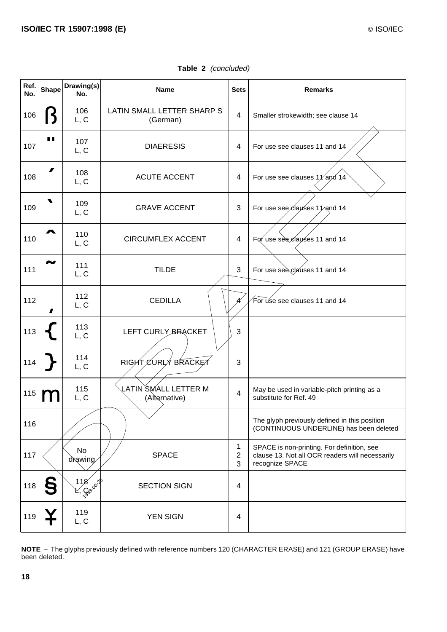| Ref.<br>No. | <b>Shape</b>            | Drawing(s)<br>No.              | <b>Name</b>                            | <b>Sets</b>                           | <b>Remarks</b>                                                                                                   |
|-------------|-------------------------|--------------------------------|----------------------------------------|---------------------------------------|------------------------------------------------------------------------------------------------------------------|
| 106         | $\mathbf{\overline{3}}$ | 106<br>L, C                    | LATIN SMALL LETTER SHARP S<br>(German) | $\overline{4}$                        | Smaller strokewidth; see clause 14                                                                               |
| 107         |                         | 107<br>L, C                    | <b>DIAERESIS</b>                       | 4                                     | For use see clauses 11 and 14                                                                                    |
| 108         | ø                       | 108<br>L, C                    | <b>ACUTE ACCENT</b>                    | 4                                     | For use see clauses $1/4$ and 14                                                                                 |
| 109         | ◥                       | 109<br>L, C                    | <b>GRAVE ACCENT</b>                    | $\sqrt{3}$                            | For use see clauses 11 and 14                                                                                    |
| 110         | ⌒                       | 110<br>L, C                    | <b>CIRCUMFLEX ACCENT</b>               | 4                                     | For use see clauses 11 and 14                                                                                    |
| 111         | $\tilde{\phantom{a}}$   | 111<br>L, C                    | <b>TILDE</b>                           | 3                                     | For use see clauses 11 and 14                                                                                    |
| 112         | ı                       | 112<br>L, C                    | <b>CEDILLA</b>                         | 4                                     | For use see clauses 11 and 14                                                                                    |
| 113         |                         | 113<br>L, C                    | LEFT CURLY_BRACKET                     | 3                                     |                                                                                                                  |
| 114         |                         | 114<br>L, C                    | RIGHT CURLY BRACKET                    | 3                                     |                                                                                                                  |
| 115         |                         | 115<br>L, C                    | LATIN SMALL LETTER M<br>(Alternative)  | $\overline{4}$                        | May be used in variable-pitch printing as a<br>substitute for Ref. 49                                            |
| 116         |                         |                                |                                        |                                       | The glyph previously defined in this position<br>(CONTINUOUS UNDERLINE) has been deleted                         |
| 117         |                         | No<br>drawing                  | <b>SPACE</b>                           | $\mathbf{1}$<br>$\boldsymbol{2}$<br>3 | SPACE is non-printing. For definition, see<br>clause 13. Not all OCR readers will necessarily<br>recognize SPACE |
| 118         | S                       | 118'<br>., Geoge <sup>38</sup> | <b>SECTION SIGN</b>                    | $\overline{\mathbf{4}}$               |                                                                                                                  |
| 119         |                         | 119<br>L, C                    | <b>YEN SIGN</b>                        | $\overline{\mathbf{4}}$               |                                                                                                                  |

**Table 2** (concluded)

**NOTE** – The glyphs previously defined with reference numbers 120 (CHARACTER ERASE) and 121 (GROUP ERASE) have been deleted.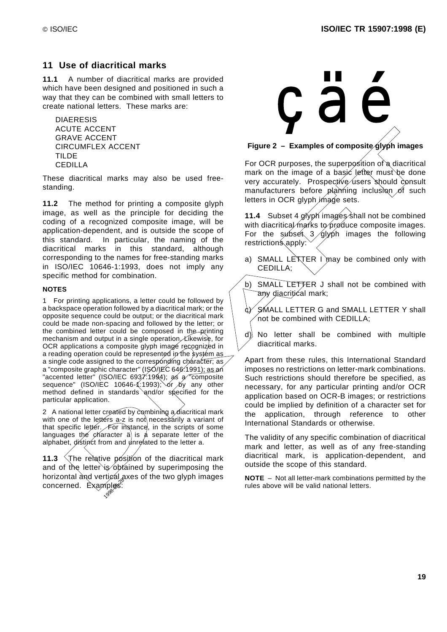#### **11 Use of diacritical marks**

**11.1** A number of diacritical marks are provided which have been designed and positioned in such a way that they can be combined with small letters to create national letters. These marks are:

DIAERESIS ACUTE ACCENT GRAVE ACCENT CIRCUMFLEX ACCENT TILDE CEDILLA

These diacritical marks may also be used freestanding.

**11.2** The method for printing a composite glyph image, as well as the principle for deciding the coding of a recognized composite image, will be application-dependent, and is outside the scope of this standard. In particular, the naming of the diacritical marks in this standard, although corresponding to the names for free-standing marks in ISO/IEC 10646-1:1993, does not imply any specific method for combination.

#### **NOTES**

UP A COENT<br>
NATURAL COENT<br>
THE ACCENT<br>
TRAFFICE A COENT<br>
THE ACCENT<br>
THE ACCENT<br>
TRAFFICE A COENT<br>
THE ACCENT<br>
THE MEMORITME TRAFFICE A SURFACE PART TO COR purposes, the superposition of a discritical<br>
DE<br>
DE distributed f 1 For printing applications, a letter could be followed by a backspace operation followed by a diacritical mark; or the opposite sequence could be output; or the diacritical mark could be made non-spacing and followed by the letter; or the combined letter could be composed in the printing mechanism and output in a single operation. Likewise, for OCR applications a composite glyph image recognized in a reading operation could be represented in the system as a single code assigned to the corresponding character;  $\widehat{\text{as}}$ a "composite graphic character" (JSO/JEC 646:1991); as an "accented letter" (ISO/IEC 6937:1994); as a "composite sequence" (ISO/IEC 10646-်\:1993); or by any other method defined in standards and/or specified for the particular application.

2 A national letter created by combining a diacritical mark with one of the letters  $a-z$  is not necessarily a variant of that specific letter. For instance, in the scripts of some languages the character  $\ddot{a}$  is a separate letter of the alphabet, distinct from and unrelated to the letter a.

**11.3** The relative position of the diacritical mark and of the letter is obtained by superimposing the horizontal and vertical axes of the two glyph images concerned. Exampless:<br>
s<sup>®</sup>



**Figure 2 – Examples of composite glyph images**

For OCR purposes, the superposition of a diacritical mark on the image of a basic letter must be done very accurately. Prospective users should consult manufacturers before planning inclusion of such letters in OCR glyph/image sets.

**11.4** Subset 4 glyph images shall not be combined with diacritical marks to produce composite images. For the subset  $3$  glyph images the following restrictions apply:

a) SMALL LE $\overline{N}$ ER I may be combined only with CEDILLA;

b) SMALL LETTER J shall not be combined with any diacritical mark;

SMALL LETTER G and SMALL LETTER Y shall not be combined with CEDILLA;

d) No letter shall be combined with multiple diacritical marks.

Apart from these rules, this International Standard imposes no restrictions on letter-mark combinations. Such restrictions should therefore be specified, as necessary, for any particular printing and/or OCR application based on OCR-B images; or restrictions could be implied by definition of a character set for the application, through reference to other International Standards or otherwise.

The validity of any specific combination of diacritical mark and letter, as well as of any free-standing diacritical mark, is application-dependent, and outside the scope of this standard.

**NOTE** – Not all letter-mark combinations permitted by the rules above will be valid national letters.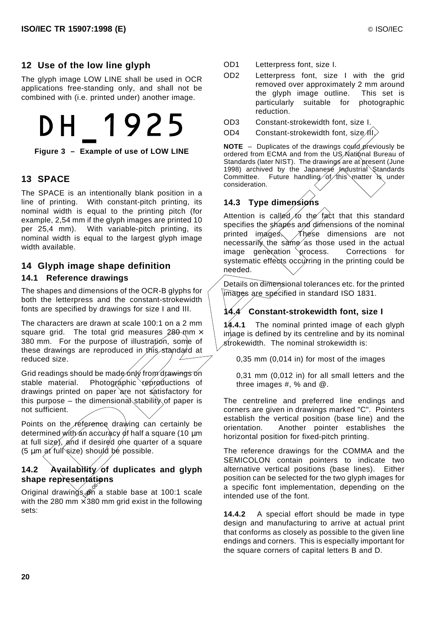# **12 Use of the low line glyph**

The glyph image LOW LINE shall be used in OCR applications free-standing only, and shall not be combined with (i.e. printed under) another image.



**Figure 3 – Example of use of LOW LINE**

# **13 SPACE**

The SPACE is an intentionally blank position in a line of printing. With constant-pitch printing, its nominal width is equal to the printing pitch (for example, 2,54 mm if the glyph images are printed 10 per 25,4 mm). With variable-pitch printing, its nominal width is equal to the largest glyph image width available.

# **14 Glyph image shape definition**

#### **14.1 Reference drawings**

The shapes and dimensions of the OCR-B glyphs for both the letterpress and the constant-strokewidth fonts are specified by drawings for size I and III.

The characters are drawn at scale 100:1 on a 2 mm square grid. The total grid measures  $280$  mm  $\times$ 380 mm. For the purpose of illustration, some of these drawings are reproduced in this standard at reduced size.

Grid readings should be made only from drawings on stable material. Photographic reproductions of drawings printed on paper are not satisfactory for this purpose  $-$  the dimensional stability of paper is not sufficient.

Points on the reference drawing can certainly be determined with an accuracy of half a square (10 µm at full size), and if desired one quarter of a square (5  $\mu$ m at full size) should be possible.

#### **14.2 Availability of duplicates and glyph** shape representations

Original drawings  $\sin^8$  a stable base at 100:1 scale with the 280 mm  $\times$  380 mm grid exist in the following sets:

- OD1 Letterpress font, size I.
- OD2 Letterpress font, size I with the grid removed over approximately 2 mm around the glyph image outline. This set is particularly suitable for photographic reduction.
- OD3 Constant-strokewidth font, size I.
- OD4 Constant-strokewidth font, size III.

**NOTE** – Duplicates of the drawings could previously be ordered from ECMA and from the US National Bureau of Standards (later NIST). The drawings are at present (June 1998) archived by the Japanese hdustrial Standards Committee. Future handling of this matter is under consideration.

### **14.3 Type dimensions**

**PRACE**<br>
Survey 3 - Example of use of LOW LINE<br>
MOTE - Constant-strokewidth font, size iii)<br>
PRACE<br>
PRACE<br>
PRACE<br>
TORE 1998-06-28 of LOW LINE<br>
Survey the distribution in a constant-stroke by the distribution of the distrib Attention is called to the fact that this standard specifies the shapes and dimensions of the nominal printed images. These dimensions are not necessarily the same as those used in the actual image generation process. Corrections for systematic effects occurring in the printing could be needed.

Details on dimensional tolerances etc. for the printed images are specified in standard ISO 1831.

#### **14.4 Constant-strokewidth font, size I**

**14.4.1** The nominal printed image of each glyph image is defined by its centreline and by its nominal strokewidth. The nominal strokewidth is:

0,35 mm (0,014 in) for most of the images

0,31 mm (0,012 in) for all small letters and the three images #, % and @.

The centreline and preferred line endings and corners are given in drawings marked "C". Pointers establish the vertical position (base line) and the orientation. Another pointer establishes the horizontal position for fixed-pitch printing.

The reference drawings for the COMMA and the SEMICOLON contain pointers to indicate two alternative vertical positions (base lines). Either position can be selected for the two glyph images for a specific font implementation, depending on the intended use of the font.

**14.4.2** A special effort should be made in type design and manufacturing to arrive at actual print that conforms as closely as possible to the given line endings and corners. This is especially important for the square corners of capital letters B and D.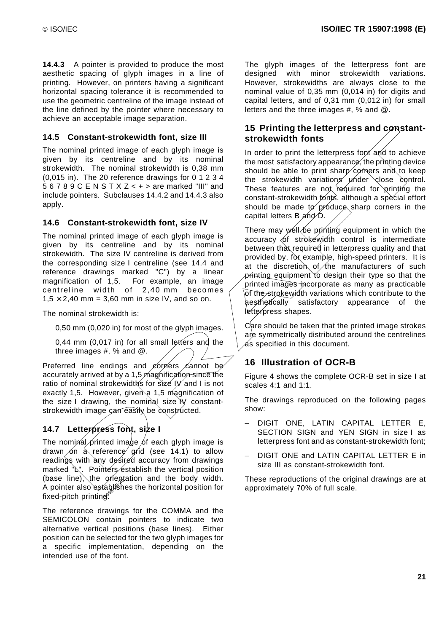**14.4.3** A pointer is provided to produce the most aesthetic spacing of glyph images in a line of printing. However, on printers having a significant horizontal spacing tolerance it is recommended to use the geometric centreline of the image instead of the line defined by the pointer where necessary to achieve an acceptable image separation.

#### **14.5 Constant-strokewidth font, size III**

The nominal printed image of each glyph image is given by its centreline and by its nominal strokewidth. The nominal strokewidth is 0,38 mm  $(0,015$  in). The 20 reference drawings for 0 1 2 3 4 5 6 7 8 9 C E N S T X Z < + > are marked "III" and include pointers. Subclauses 14.4.2 and 14.4.3 also apply.

#### **14.6 Constant-strokewidth font, size IV**

The nominal printed image of each glyph image is given by its centreline and by its nominal strokewidth. The size IV centreline is derived from the corresponding size I centreline (see 14.4 and reference drawings marked "C") by a linear magnification of 1,5. For example, an image centreline width of 2,40 mm becomes  $1.5 \times 2.40$  mm = 3.60 mm in size IV, and so on.

The nominal strokewidth is:

0,50 mm (0,020 in) for most of the glyph images.

0,44 mm (0,017 in) for all small letters and the three images #, % and @.

Preferred line endings and  $\sqrt{\text{cor}}$  cannot be accurately arrived at by a 1.5 magnification since the ratio of nominal strokewidths for size  $N$  and I is not exactly 1,5. However, given a 1,5 magnification of the size I drawing, the nominal size  $\mathbb N$  constantstrokewidth image can easily be constructed.

# **14.7 Letterpress font, size I**

The nominal printed image of each glyph image is drawn on a reference grid (see 14.1) to allow readings with any desired accuracy from drawings marked "L". Pointers establish the vertical position (base line), the orientation and the body width. A pointer also establishes the horizontal position for fixed-pitch printing<sup>o</sup>

The reference drawings for the COMMA and the SEMICOLON contain pointers to indicate two alternative vertical positions (base lines). Either position can be selected for the two glyph images for a specific implementation, depending on the intended use of the font.

The glyph images of the letterpress font are designed with minor strokewidth variations. However, strokewidths are always close to the nominal value of 0,35 mm (0,014 in) for digits and capital letters, and of 0,31 mm (0,012 in) for small letters and the three images #, % and @.

#### **15 Printing the letterpress and constantstrokewidth fonts**

In order to print the letterpress font and to achieve the most satisfactory appearance, the printing device should be able to print sharp comers and to keep the strokewidth variations  $\n *under*  $\sqrt{\phantom{a}}$  *check*  $\ddot{\phantom{a}}$  *control.*$ These features are not required for printing the constant-strokewidth fonts, although a special effort should be made to produce sharp corners in the capital letters B and D.

**Constant-strokewidth font, size III series and Constant-<br>
by its centreline and elect primage is in order to primage in the letter<br>presentance, the primage of each ply its nominal the means saistactory appearance, the pri** There may well be printing equipment in which the accuracy  $\varphi$ f strokewidth control is intermediate between that required in letterpress quality and that provided by, for example, high-speed printers. It is at the discretion of the manufacturers of such printing equipment to design their type so that the printed images incorporate as many as practicable of the strokewidth variations which contribute to the aesthetically satisfactory appearance of the letterpress shapes.

Care should be taken that the printed image strokes are symmetrically distributed around the centrelines as specified in this document.

# **16 Illustration of OCR-B**

Figure 4 shows the complete OCR-B set in size I at scales 4:1 and 1:1.

The drawings reproduced on the following pages show:

- DIGIT ONE, LATIN CAPITAL LETTER E, SECTION SIGN and YEN SIGN in size I as letterpress font and as constant-strokewidth font;
- DIGIT ONE and LATIN CAPITAL LETTER E in size III as constant-strokewidth font.

These reproductions of the original drawings are at approximately 70% of full scale.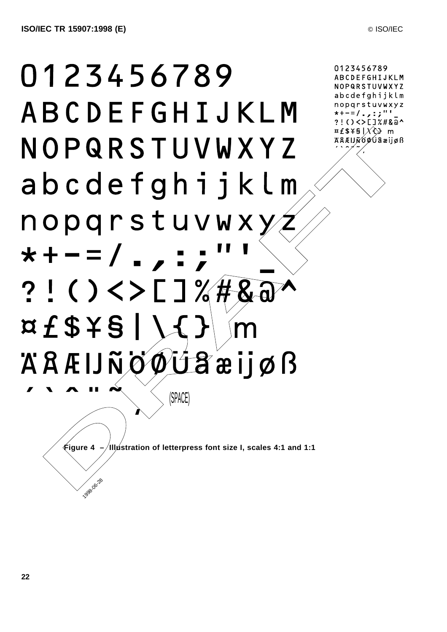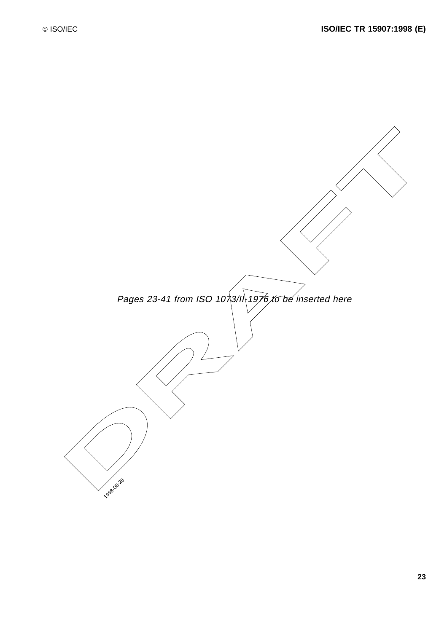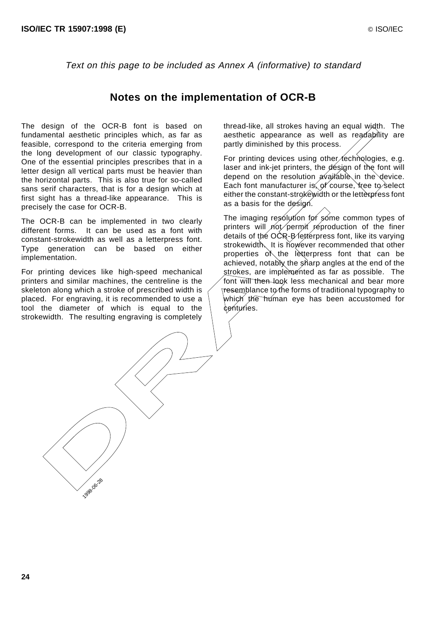Text on this page to be included as Annex A (informative) to standard

## **Notes on the implementation of OCR-B**

The design of the OCR-B font is based on fundamental aesthetic principles which, as far as feasible, correspond to the criteria emerging from the long development of our classic typography. One of the essential principles prescribes that in a letter design all vertical parts must be heavier than the horizontal parts. This is also true for so-called sans serif characters, that is for a design which at first sight has a thread-like appearance. This is precisely the case for OCR-B.

The OCR-B can be implemented in two clearly different forms. It can be used as a font with constant-strokewidth as well as a letterpress font. Type generation can be based on either implementation.

For printing devices like high-speed mechanical printers and similar machines, the centreline is the skeleton along which a stroke of prescribed width is placed. For engraving, it is recommended to use a tool the diameter of which is equal to the strokewidth. The resulting engraving is completely

thread-like, all strokes having an equal width. The aesthetic appearance as well as readability are partly diminished by this process.

For printing devices using other technologies, e.g. laser and ink-jet printers, the design of the font will depend on the resolution available in the device. Each font manufacturer is, of course, tree to select either the constant-strokewidth or the letterpress font as a basis for the design.

**DRAFT** of the UCR-B interactive, an since the deterministic and the control of the control of the standard with the standard with the standard with the proposition of the method in the standard with the proposition of the The imaging resolution for some common types of printers will not permit reproduction of the finer details of the OCR-B letterpress font, like its varying strokewidth. It is however recommended that other properties of the letterpress font that can be achieved, notably the sharp angles at the end of the strokes, are implemented as far as possible. The font will then look less mechanical and bear more  $r$ esemblance to the forms of traditional typography to which the human eye has been accustomed for centuries.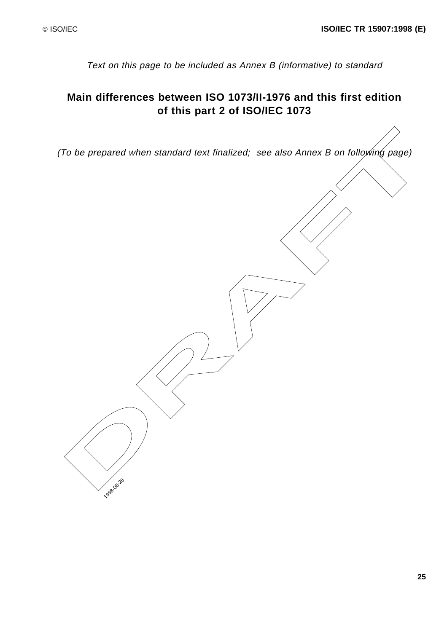Text on this page to be included as Annex B (informative) to standard

# **Main differences between ISO 1073/II-1976 and this first edition of this part 2 of ISO/IEC 1073**

To be prepared when standard text finalized; see also Annex B on following page) (To be prepared when standard text finalized; see also Annex B on following page)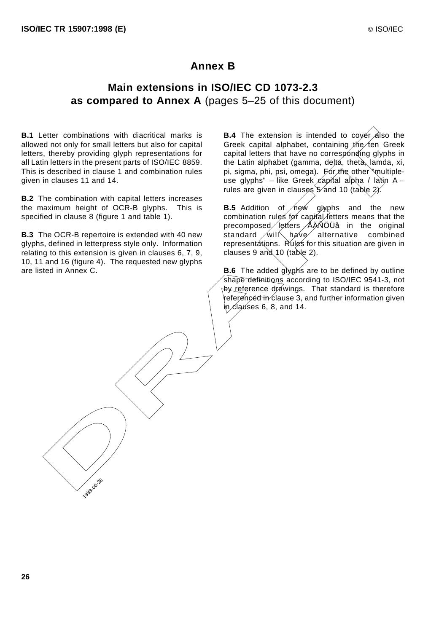# **Annex B**

# **Main extensions in ISO/IEC CD 1073-2.3 as compared to Annex A** (pages 5–25 of this document)

**B.1** Letter combinations with diacritical marks is allowed not only for small letters but also for capital letters, thereby providing glyph representations for all Latin letters in the present parts of ISO/IEC 8859. This is described in clause 1 and combination rules given in clauses 11 and 14.

**B.2** The combination with capital letters increases the maximum height of OCR-B glyphs. This is specified in clause 8 (figure 1 and table 1).

**B.3** The OCR-B repertoire is extended with 40 new glyphs, defined in letterpress style only. Information relating to this extension is given in clauses 6, 7, 9, 10, 11 and 16 (figure 4). The requested new glyphs are listed in Annex C.

et combinations with distribute the film of correspondent intended to cover also the intended in correspondent intended to cover also the minimisters of the control control control control control control control control c **B.4** The extension is intended to  $c_0$   $\sqrt{c}$  also the Greek capital alphabet, containing the ten Greek capital letters that have no corresponding glyphs in the Latin alphabet (gamma, delta, theta, lamda, xi, pi, sigma, phi, psi, omega). For the other "multipleuse glyphs" – like Greek capital alpha / latin A – rules are given in clauses  $5$  and 10 (table 2).

**B.5** Addition of new glyphs and the new combination rules for capital letters means that the precomposed letters ÅÄÑÖÜå in the original standard will have alternative combined representations. Rules for this situation are given in clauses  $9$  and  $10$  (table 2).

**B.6** The added glyphs are to be defined by outline shape definitions according to ISO/IEC 9541-3, not by reference drawings. That standard is therefore referenced in clause 3, and further information given  $in$  clauses 6, 8, and 14.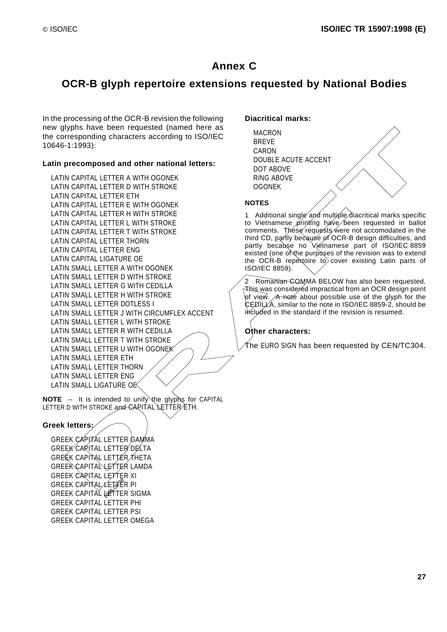# **Annex C**

# **OCR-B glyph repertoire extensions requested by National Bodies**

In the processing of the OCR-B revision the following new glyphs have been requested (named here as the corresponding characters according to ISO/IEC 10646-1:1993):

#### **Latin precomposed and other national letters:**

**DRAFTAL LETTER A WITH STORE REACH AND SEVERAL CONDUCTS.**<br>
THE SPOND ON THE STATE IN THE STATE OF THE SAME CAN ACCESS CONDUCTS AND CAPITAL LETTER A WITH STORE CONDUCTS CONDUCTS AND NOT CONDUCTS AND CAPITAL LETTER IN THE ST LATIN CAPITAL LETTER A WITH OGONEK LATIN CAPITAL LETTER D WITH STROKE LATIN CAPITAL LETTER ETH LATIN CAPITAL LETTER E WITH OGONEK LATIN CAPITAL LETTER H WITH STROKE LATIN CAPITAL LETTER L WITH STROKE LATIN CAPITAL LETTER T WITH STROKE LATIN CAPITAL LETTER THORN LATIN CAPITAL LETTER ENG LATIN CAPITAL LIGATURE OE LATIN SMALL LETTER A WITH OGONEK LATIN SMALL LETTER D WITH STROKE LATIN SMALL LETTER G WITH CEDILLA LATIN SMALL LETTER H WITH STROKE LATIN SMALL LETTER DOTLESS I LATIN SMALL LETTER J WITH CIRCUMFLEX ACCENT LATIN SMALL LETTER L WITH STROKE LATIN SMALL LETTER R WITH CEDILLA LATIN SMALL LETTER T WITH STROKE LATIN SMALL LETTER U WITH OGONEK LATIN SMALL LETTER ETH LATIN SMALL LETTER THORN LATIN SMALL LETTER ENG LATIN SMALL LIGATURE OF

**NOTE** – It is intended to unify the glyphs for CAPITAL LETTER D WITH STROKE and CARITAL LETTER ETH.

#### **Greek letters:**

GREEK CAPITAL LETTER GAMMA GREEK CAPITAL LETTER DELTA GREEK CAPITAL LETTER THETA GREEK CAPITAL LETTER LAMDA GREEK CAPITAL LETTER XI GREEK CAPITAL LETTER PI GREEK CAPITAL LETTER SIGMA GREEK CAPITAL LETTER PHI GREEK CAPITAL LETTER PSI GREEK CAPITAL LETTER OMEGA

#### **Diacritical marks:**

| <b>MACRON</b>       |  |
|---------------------|--|
| <b>BREVE</b>        |  |
| CARON               |  |
| DOUBLE ACUTE ACCENT |  |
| DOT ABOVE           |  |
| <b>RING ABOVE</b>   |  |
| <b>OGONEK</b>       |  |
|                     |  |

#### **NOTES**

1 Additional single and multiple diacritical marks specific to Vietnamese printing have been requested in ballot comments. These requests were not accomodated in the third CD, partly because of OCR-B design difficulties, and partly because no Vietnamese part of ISO/IEC 8859 existed (one of the purposes of the revision was to extend the OCR-B repertoire to cover existing Latin parts of ISO/IEC 8859).

Romanian COMMA BELOW has also been requested. This was considered impractical from an OCR design point of view. A note about possible use of the glyph for the CEDILLA, similar to the note in ISO/IEC 8859-2, should be included in the standard if the revision is resumed.

#### **Other characters:**

The EURO SIGN has been requested by CEN/TC304.